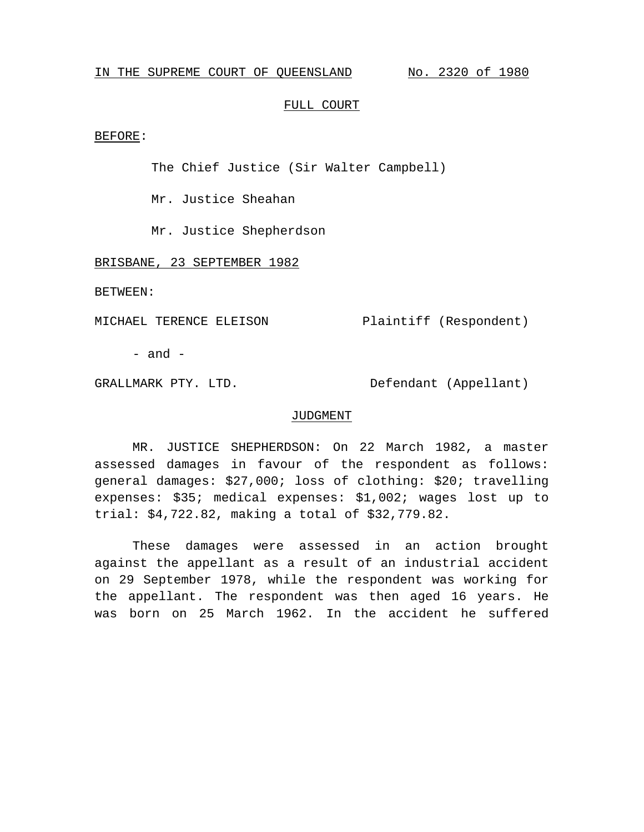## IN THE SUPREME COURT OF QUEENSLAND No. 2320 of 1980

## FULL COURT

BEFORE:

The Chief Justice (Sir Walter Campbell)

Mr. Justice Sheahan

Mr. Justice Shepherdson

BRISBANE, 23 SEPTEMBER 1982

BETWEEN:

MICHAEL TERENCE ELEISON Plaintiff (Respondent)

 $-$  and  $-$ 

GRALLMARK PTY. LTD. Defendant (Appellant)

## JUDGMENT

MR. JUSTICE SHEPHERDSON: On 22 March 1982, a master assessed damages in favour of the respondent as follows: general damages: \$27,000; loss of clothing: \$20; travelling expenses: \$35; medical expenses: \$1,002; wages lost up to trial: \$4,722.82, making a total of \$32,779.82.

These damages were assessed in an action brought against the appellant as a result of an industrial accident on 29 September 1978, while the respondent was working for the appellant. The respondent was then aged 16 years. He was born on 25 March 1962. In the accident he suffered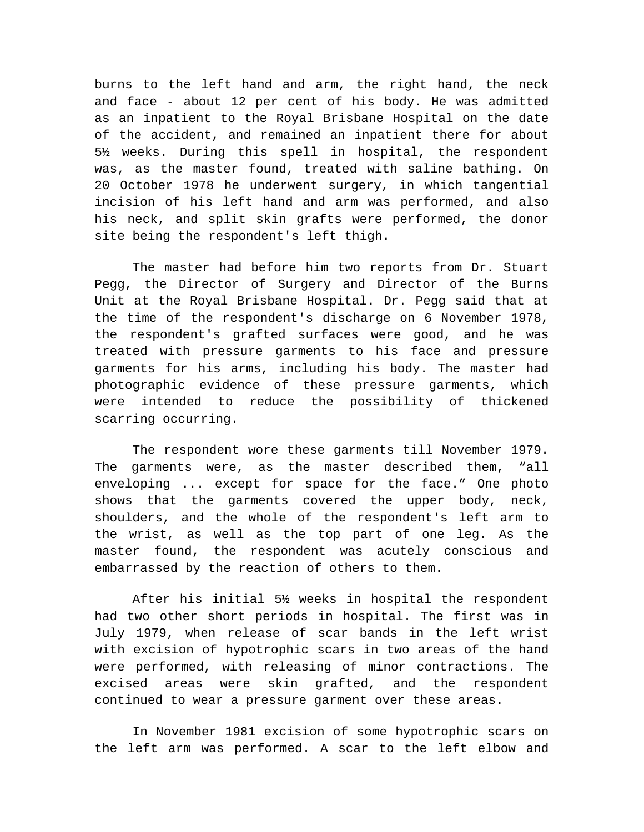burns to the left hand and arm, the right hand, the neck and face - about 12 per cent of his body. He was admitted as an inpatient to the Royal Brisbane Hospital on the date of the accident, and remained an inpatient there for about 5½ weeks. During this spell in hospital, the respondent was, as the master found, treated with saline bathing. On 20 October 1978 he underwent surgery, in which tangential incision of his left hand and arm was performed, and also his neck, and split skin grafts were performed, the donor site being the respondent's left thigh.

The master had before him two reports from Dr. Stuart Pegg, the Director of Surgery and Director of the Burns Unit at the Royal Brisbane Hospital. Dr. Pegg said that at the time of the respondent's discharge on 6 November 1978, the respondent's grafted surfaces were good, and he was treated with pressure garments to his face and pressure garments for his arms, including his body. The master had photographic evidence of these pressure garments, which were intended to reduce the possibility of thickened scarring occurring.

The respondent wore these garments till November 1979. The garments were, as the master described them, "all enveloping ... except for space for the face." One photo shows that the garments covered the upper body, neck, shoulders, and the whole of the respondent's left arm to the wrist, as well as the top part of one leg. As the master found, the respondent was acutely conscious and embarrassed by the reaction of others to them.

After his initial 5½ weeks in hospital the respondent had two other short periods in hospital. The first was in July 1979, when release of scar bands in the left wrist with excision of hypotrophic scars in two areas of the hand were performed, with releasing of minor contractions. The excised areas were skin grafted, and the respondent continued to wear a pressure garment over these areas.

In November 1981 excision of some hypotrophic scars on the left arm was performed. A scar to the left elbow and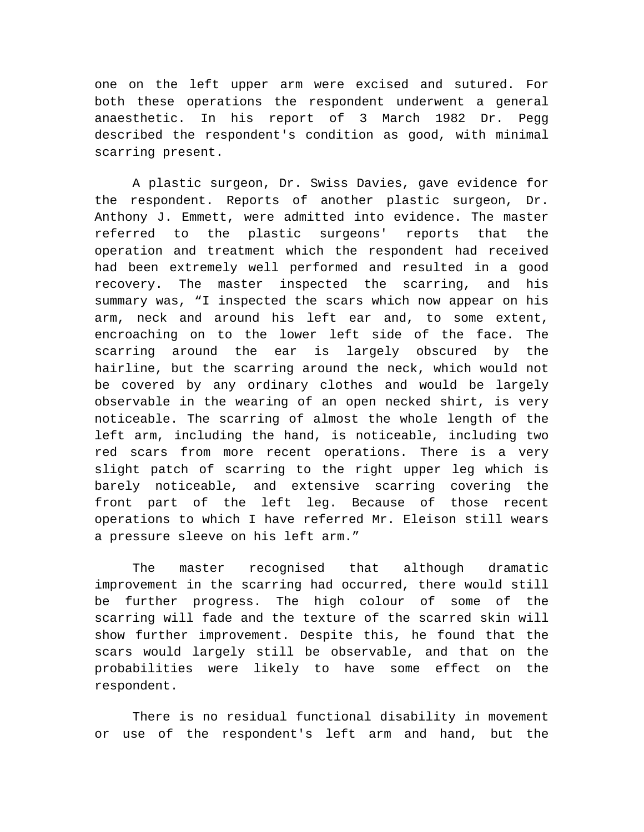one on the left upper arm were excised and sutured. For both these operations the respondent underwent a general anaesthetic. In his report of 3 March 1982 Dr. Pegg described the respondent's condition as good, with minimal scarring present.

A plastic surgeon, Dr. Swiss Davies, gave evidence for the respondent. Reports of another plastic surgeon, Dr. Anthony J. Emmett, were admitted into evidence. The master referred to the plastic surgeons' reports that the operation and treatment which the respondent had received had been extremely well performed and resulted in a good recovery. The master inspected the scarring, and his summary was, "I inspected the scars which now appear on his arm, neck and around his left ear and, to some extent, encroaching on to the lower left side of the face. The scarring around the ear is largely obscured by the hairline, but the scarring around the neck, which would not be covered by any ordinary clothes and would be largely observable in the wearing of an open necked shirt, is very noticeable. The scarring of almost the whole length of the left arm, including the hand, is noticeable, including two red scars from more recent operations. There is a very slight patch of scarring to the right upper leg which is barely noticeable, and extensive scarring covering the front part of the left leg. Because of those recent operations to which I have referred Mr. Eleison still wears a pressure sleeve on his left arm."

The master recognised that although dramatic improvement in the scarring had occurred, there would still be further progress. The high colour of some of the scarring will fade and the texture of the scarred skin will show further improvement. Despite this, he found that the scars would largely still be observable, and that on the probabilities were likely to have some effect on the respondent.

There is no residual functional disability in movement or use of the respondent's left arm and hand, but the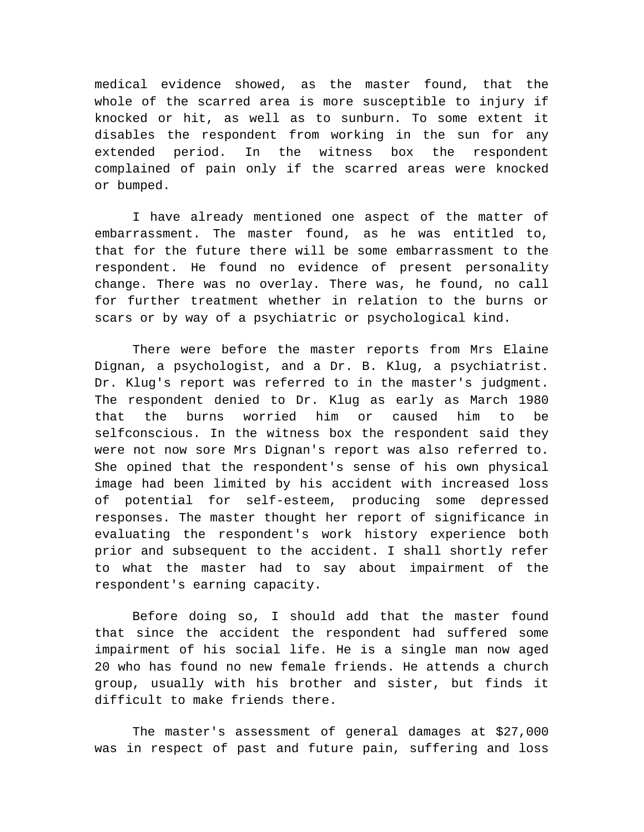medical evidence showed, as the master found, that the whole of the scarred area is more susceptible to injury if knocked or hit, as well as to sunburn. To some extent it disables the respondent from working in the sun for any extended period. In the witness box the respondent complained of pain only if the scarred areas were knocked or bumped.

I have already mentioned one aspect of the matter of embarrassment. The master found, as he was entitled to, that for the future there will be some embarrassment to the respondent. He found no evidence of present personality change. There was no overlay. There was, he found, no call for further treatment whether in relation to the burns or scars or by way of a psychiatric or psychological kind.

There were before the master reports from Mrs Elaine Dignan, a psychologist, and a Dr. B. Klug, a psychiatrist. Dr. Klug's report was referred to in the master's judgment. The respondent denied to Dr. Klug as early as March 1980 that the burns worried him or caused him to be selfconscious. In the witness box the respondent said they were not now sore Mrs Dignan's report was also referred to. She opined that the respondent's sense of his own physical image had been limited by his accident with increased loss of potential for self-esteem, producing some depressed responses. The master thought her report of significance in evaluating the respondent's work history experience both prior and subsequent to the accident. I shall shortly refer to what the master had to say about impairment of the respondent's earning capacity.

Before doing so, I should add that the master found that since the accident the respondent had suffered some impairment of his social life. He is a single man now aged 20 who has found no new female friends. He attends a church group, usually with his brother and sister, but finds it difficult to make friends there.

The master's assessment of general damages at \$27,000 was in respect of past and future pain, suffering and loss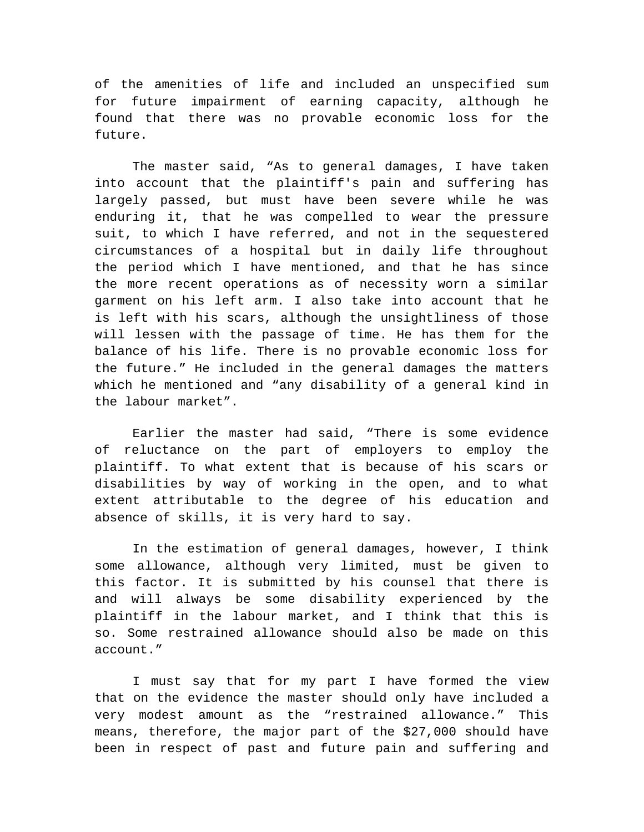of the amenities of life and included an unspecified sum for future impairment of earning capacity, although he found that there was no provable economic loss for the future.

The master said, "As to general damages, I have taken into account that the plaintiff's pain and suffering has largely passed, but must have been severe while he was enduring it, that he was compelled to wear the pressure suit, to which I have referred, and not in the sequestered circumstances of a hospital but in daily life throughout the period which I have mentioned, and that he has since the more recent operations as of necessity worn a similar garment on his left arm. I also take into account that he is left with his scars, although the unsightliness of those will lessen with the passage of time. He has them for the balance of his life. There is no provable economic loss for the future." He included in the general damages the matters which he mentioned and "any disability of a general kind in the labour market".

Earlier the master had said, "There is some evidence of reluctance on the part of employers to employ the plaintiff. To what extent that is because of his scars or disabilities by way of working in the open, and to what extent attributable to the degree of his education and absence of skills, it is very hard to say.

In the estimation of general damages, however, I think some allowance, although very limited, must be given to this factor. It is submitted by his counsel that there is and will always be some disability experienced by the plaintiff in the labour market, and I think that this is so. Some restrained allowance should also be made on this account."

I must say that for my part I have formed the view that on the evidence the master should only have included a very modest amount as the "restrained allowance." This means, therefore, the major part of the \$27,000 should have been in respect of past and future pain and suffering and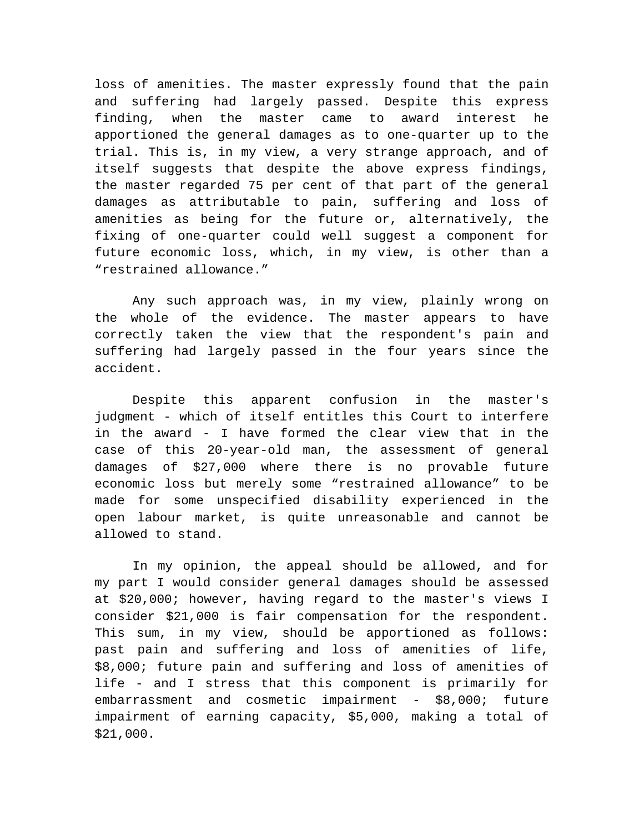loss of amenities. The master expressly found that the pain and suffering had largely passed. Despite this express finding, when the master came to award interest he apportioned the general damages as to one-quarter up to the trial. This is, in my view, a very strange approach, and of itself suggests that despite the above express findings, the master regarded 75 per cent of that part of the general damages as attributable to pain, suffering and loss of amenities as being for the future or, alternatively, the fixing of one-quarter could well suggest a component for future economic loss, which, in my view, is other than a "restrained allowance."

Any such approach was, in my view, plainly wrong on the whole of the evidence. The master appears to have correctly taken the view that the respondent's pain and suffering had largely passed in the four years since the accident.

Despite this apparent confusion in the master's judgment - which of itself entitles this Court to interfere in the award - I have formed the clear view that in the case of this 20-year-old man, the assessment of general damages of \$27,000 where there is no provable future economic loss but merely some "restrained allowance" to be made for some unspecified disability experienced in the open labour market, is quite unreasonable and cannot be allowed to stand.

In my opinion, the appeal should be allowed, and for my part I would consider general damages should be assessed at \$20,000; however, having regard to the master's views I consider \$21,000 is fair compensation for the respondent. This sum, in my view, should be apportioned as follows: past pain and suffering and loss of amenities of life, \$8,000; future pain and suffering and loss of amenities of life - and I stress that this component is primarily for embarrassment and cosmetic impairment - \$8,000; future impairment of earning capacity, \$5,000, making a total of \$21,000.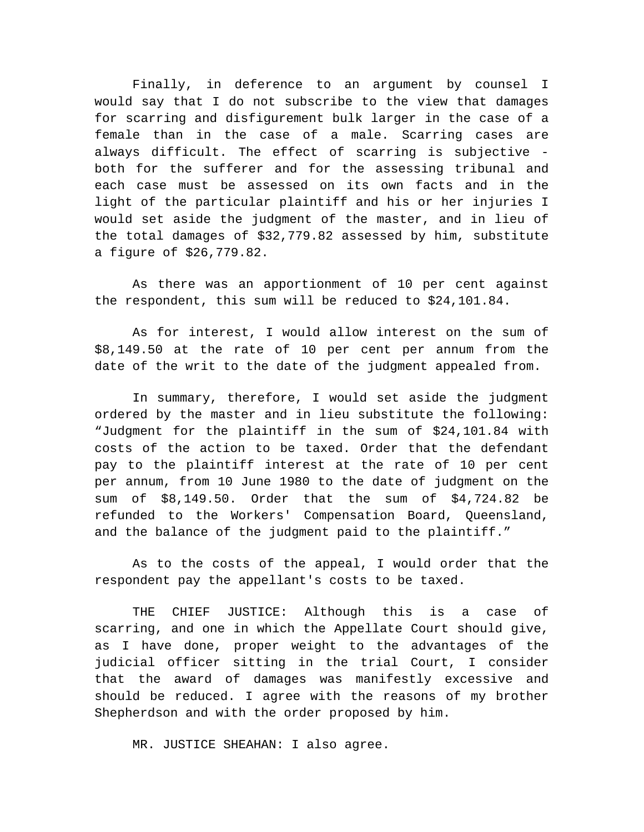Finally, in deference to an argument by counsel I would say that I do not subscribe to the view that damages for scarring and disfigurement bulk larger in the case of a female than in the case of a male. Scarring cases are always difficult. The effect of scarring is subjective both for the sufferer and for the assessing tribunal and each case must be assessed on its own facts and in the light of the particular plaintiff and his or her injuries I would set aside the judgment of the master, and in lieu of the total damages of \$32,779.82 assessed by him, substitute a figure of \$26,779.82.

As there was an apportionment of 10 per cent against the respondent, this sum will be reduced to \$24,101.84.

As for interest, I would allow interest on the sum of \$8,149.50 at the rate of 10 per cent per annum from the date of the writ to the date of the judgment appealed from.

In summary, therefore, I would set aside the judgment ordered by the master and in lieu substitute the following: "Judgment for the plaintiff in the sum of \$24,101.84 with costs of the action to be taxed. Order that the defendant pay to the plaintiff interest at the rate of 10 per cent per annum, from 10 June 1980 to the date of judgment on the sum of \$8,149.50. Order that the sum of \$4,724.82 be refunded to the Workers' Compensation Board, Queensland, and the balance of the judgment paid to the plaintiff."

As to the costs of the appeal, I would order that the respondent pay the appellant's costs to be taxed.

THE CHIEF JUSTICE: Although this is a case of scarring, and one in which the Appellate Court should give, as I have done, proper weight to the advantages of the judicial officer sitting in the trial Court, I consider that the award of damages was manifestly excessive and should be reduced. I agree with the reasons of my brother Shepherdson and with the order proposed by him.

MR. JUSTICE SHEAHAN: I also agree.